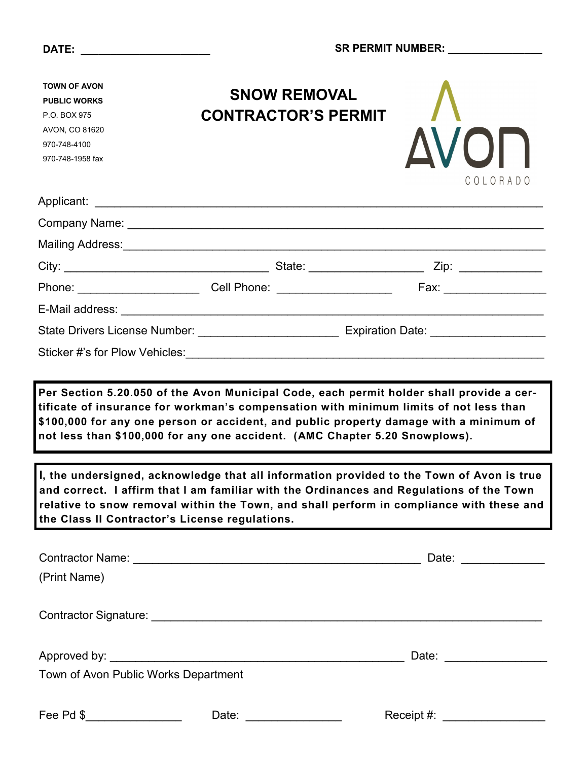| <b>TOWN OF AVON</b><br><b>PUBLIC WORKS</b><br>P.O. BOX 975<br>AVON, CO 81620<br>970-748-4100<br>970-748-1958 fax | <b>SNOW REMOVAL</b><br><b>CONTRACTOR'S PERMIT</b>                                                                                                                                                                                                                                                                                                          | <b>AVON</b><br>COLORADO |  |  |
|------------------------------------------------------------------------------------------------------------------|------------------------------------------------------------------------------------------------------------------------------------------------------------------------------------------------------------------------------------------------------------------------------------------------------------------------------------------------------------|-------------------------|--|--|
|                                                                                                                  |                                                                                                                                                                                                                                                                                                                                                            |                         |  |  |
|                                                                                                                  |                                                                                                                                                                                                                                                                                                                                                            |                         |  |  |
|                                                                                                                  |                                                                                                                                                                                                                                                                                                                                                            |                         |  |  |
|                                                                                                                  |                                                                                                                                                                                                                                                                                                                                                            |                         |  |  |
|                                                                                                                  |                                                                                                                                                                                                                                                                                                                                                            |                         |  |  |
|                                                                                                                  |                                                                                                                                                                                                                                                                                                                                                            |                         |  |  |
|                                                                                                                  | State Drivers License Number: ___________________________________ Expiration Date: ___________________________                                                                                                                                                                                                                                             |                         |  |  |
|                                                                                                                  |                                                                                                                                                                                                                                                                                                                                                            |                         |  |  |
|                                                                                                                  | Per Section 5.20.050 of the Avon Municipal Code, each permit holder shall provide a cer-<br>tificate of insurance for workman's compensation with minimum limits of not less than<br>\$100,000 for any one person or accident, and public property damage with a minimum of<br>not less than \$100,000 for any one accident. (AMC Chapter 5.20 Snowplows). |                         |  |  |
| the Class II Contractor's License regulations.                                                                   | I, the undersigned, acknowledge that all information provided to the Town of Avon is true<br>and correct. I affirm that I am familiar with the Ordinances and Regulations of the Town<br>relative to snow removal within the Town, and shall perform in compliance with these and                                                                          |                         |  |  |
|                                                                                                                  |                                                                                                                                                                                                                                                                                                                                                            |                         |  |  |
| (Print Name)                                                                                                     |                                                                                                                                                                                                                                                                                                                                                            |                         |  |  |
|                                                                                                                  |                                                                                                                                                                                                                                                                                                                                                            |                         |  |  |
|                                                                                                                  |                                                                                                                                                                                                                                                                                                                                                            |                         |  |  |
| Town of Avon Public Works Department                                                                             |                                                                                                                                                                                                                                                                                                                                                            |                         |  |  |
| Fee Pd \$_________________                                                                                       | Date:                                                                                                                                                                                                                                                                                                                                                      | Receipt #:              |  |  |